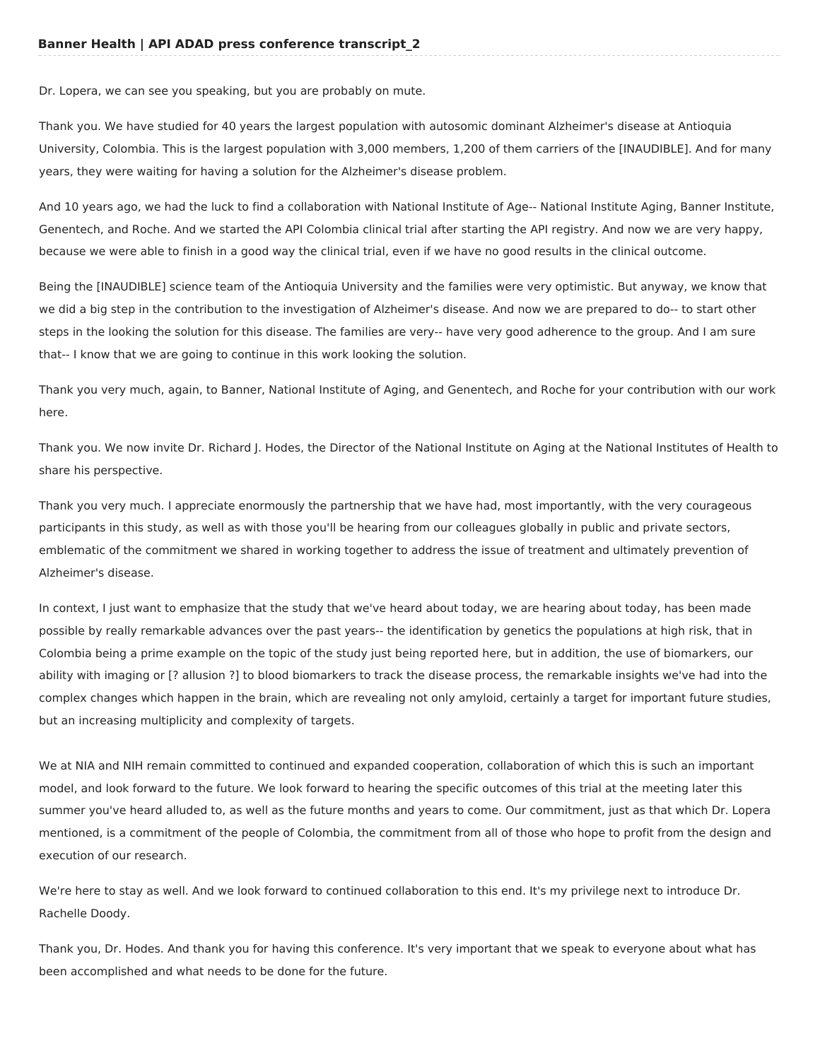Dr. Lopera, we can see you speaking, but you are probably on mute.

Thank you. We have studied for 40 years the largest population with autosomic dominant Alzheimer's disease at Antioquia University, Colombia. This is the largest population with 3,000 members, 1,200 of them carriers of the [INAUDIBLE]. And for many years, they were waiting for having a solution for the Alzheimer's disease problem.

And 10 years ago, we had the luck to find a collaboration with National Institute of Age-- National Institute Aging, Banner Institute, Genentech, and Roche. And we started the API Colombia clinical trial after starting the API registry. And now we are very happy, because we were able to finish in a good way the clinical trial, even if we have no good results in the clinical outcome.

Being the [INAUDIBLE] science team of the Antioquia University and the families were very optimistic. But anyway, we know that we did a big step in the contribution to the investigation of Alzheimer's disease. And now we are prepared to do-- to start other steps in the looking the solution for this disease. The families are very-- have very good adherence to the group. And I am sure that-- I know that we are going to continue in this work looking the solution.

Thank you very much, again, to Banner, National Institute of Aging, and Genentech, and Roche for your contribution with our work here.

Thank you. We now invite Dr. Richard J. Hodes, the Director of the National Institute on Aging at the National Institutes of Health to share his perspective.

Thank you very much. I appreciate enormously the partnership that we have had, most importantly, with the very courageous participants in this study, as well as with those you'll be hearing from our colleagues globally in public and private sectors, emblematic of the commitment we shared in working together to address the issue of treatment and ultimately prevention of Alzheimer's disease.

In context, I just want to emphasize that the study that we've heard about today, we are hearing about today, has been made possible by really remarkable advances over the past years-- the identification by genetics the populations at high risk, that in Colombia being a prime example on the topic of the study just being reported here, but in addition, the use of biomarkers, our ability with imaging or [? allusion ?] to blood biomarkers to track the disease process, the remarkable insights we've had into the complex changes which happen in the brain, which are revealing not only amyloid, certainly a target for important future studies, but an increasing multiplicity and complexity of targets.

We at NIA and NIH remain committed to continued and expanded cooperation, collaboration of which this is such an important model, and look forward to the future. We look forward to hearing the specific outcomes of this trial at the meeting later this summer you've heard alluded to, as well as the future months and years to come. Our commitment, just as that which Dr. Lopera mentioned, is a commitment of the people of Colombia, the commitment from all of those who hope to profit from the design and execution of our research.

We're here to stay as well. And we look forward to continued collaboration to this end. It's my privilege next to introduce Dr. Rachelle Doody.

Thank you, Dr. Hodes. And thank you for having this conference. It's very important that we speak to everyone about what has been accomplished and what needs to be done for the future.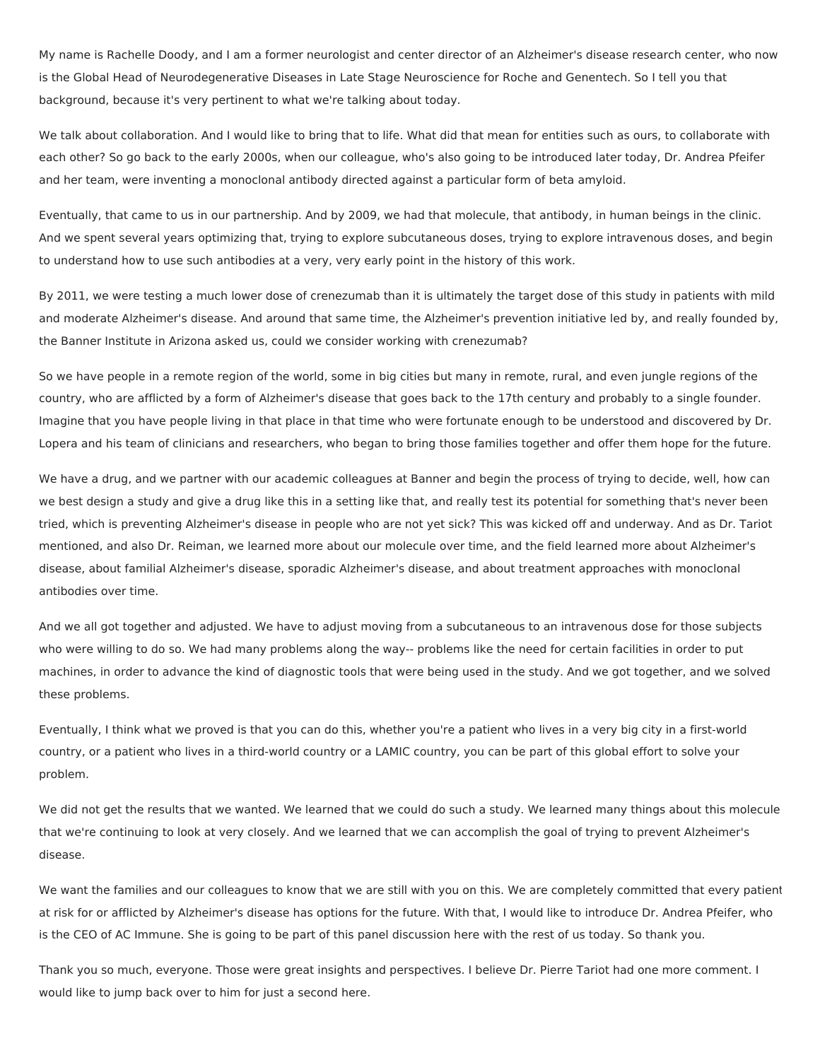My name is Rachelle Doody, and I am a former neurologist and center director of an Alzheimer's disease research center, who now is the Global Head of Neurodegenerative Diseases in Late Stage Neuroscience for Roche and Genentech. So I tell you that background, because it's very pertinent to what we're talking about today.

We talk about collaboration. And I would like to bring that to life. What did that mean for entities such as ours, to collaborate with each other? So go back to the early 2000s, when our colleague, who's also going to be introduced later today, Dr. Andrea Pfeifer and her team, were inventing a monoclonal antibody directed against a particular form of beta amyloid.

Eventually, that came to us in our partnership. And by 2009, we had that molecule, that antibody, in human beings in the clinic. And we spent several years optimizing that, trying to explore subcutaneous doses, trying to explore intravenous doses, and begin to understand how to use such antibodies at a very, very early point in the history of this work.

By 2011, we were testing a much lower dose of crenezumab than it is ultimately the target dose of this study in patients with mild and moderate Alzheimer's disease. And around that same time, the Alzheimer's prevention initiative led by, and really founded by, the Banner Institute in Arizona asked us, could we consider working with crenezumab?

So we have people in a remote region of the world, some in big cities but many in remote, rural, and even jungle regions of the country, who are afflicted by a form of Alzheimer's disease that goes back to the 17th century and probably to a single founder. Imagine that you have people living in that place in that time who were fortunate enough to be understood and discovered by Dr. Lopera and his team of clinicians and researchers, who began to bring those families together and offer them hope for the future.

We have a drug, and we partner with our academic colleagues at Banner and begin the process of trying to decide, well, how can we best design a study and give a drug like this in a setting like that, and really test its potential for something that's never been tried, which is preventing Alzheimer's disease in people who are not yet sick? This was kicked off and underway. And as Dr. Tariot mentioned, and also Dr. Reiman, we learned more about our molecule over time, and the field learned more about Alzheimer's disease, about familial Alzheimer's disease, sporadic Alzheimer's disease, and about treatment approaches with monoclonal antibodies over time.

And we all got together and adjusted. We have to adjust moving from a subcutaneous to an intravenous dose for those subjects who were willing to do so. We had many problems along the way-- problems like the need for certain facilities in order to put machines, in order to advance the kind of diagnostic tools that were being used in the study. And we got together, and we solved these problems.

Eventually, I think what we proved is that you can do this, whether you're a patient who lives in a very big city in a first-world country, or a patient who lives in a third-world country or a LAMIC country, you can be part of this global effort to solve your problem.

We did not get the results that we wanted. We learned that we could do such a study. We learned many things about this molecule that we're continuing to look at very closely. And we learned that we can accomplish the goal of trying to prevent Alzheimer's disease.

We want the families and our colleagues to know that we are still with you on this. We are completely committed that every patient at risk for or afflicted by Alzheimer's disease has options for the future. With that, I would like to introduce Dr. Andrea Pfeifer, who is the CEO of AC Immune. She is going to be part of this panel discussion here with the rest of us today. So thank you.

Thank you so much, everyone. Those were great insights and perspectives. I believe Dr. Pierre Tariot had one more comment. I would like to jump back over to him for just a second here.